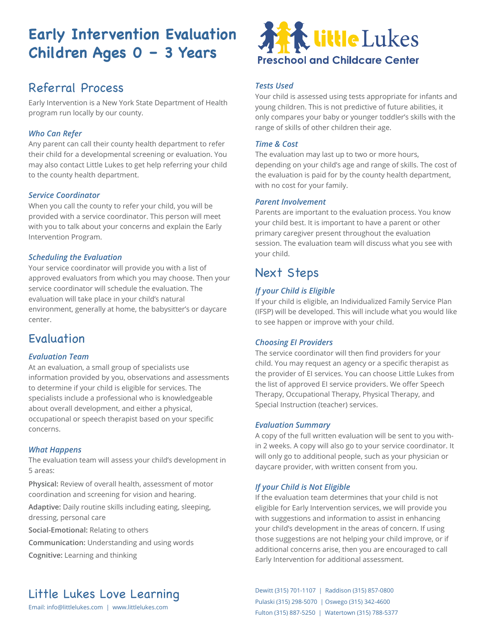# **Early Intervention Evaluation Children Ages 0 – 3 Years**

### Referral Process

Early Intervention is a New York State Department of Health program run locally by our county.

### *Who Can Refer*

Any parent can call their county health department to refer their child for a developmental screening or evaluation. You may also contact Little Lukes to get help referring your child to the county health department.

### *Service Coordinator*

When you call the county to refer your child, you will be provided with a service coordinator. This person will meet with you to talk about your concerns and explain the Early Intervention Program.

### *Scheduling the Evaluation*

Your service coordinator will provide you with a list of approved evaluators from which you may choose. Then your service coordinator will schedule the evaluation. The evaluation will take place in your child's natural environment, generally at home, the babysitter's or daycare center.

### Evaluation

### *Evaluation Team*

At an evaluation, a small group of specialists use information provided by you, observations and assessments to determine if your child is eligible for services. The specialists include a professional who is knowledgeable about overall development, and either a physical, occupational or speech therapist based on your specific concerns.

### *What Happens*

The evaluation team will assess your child's development in 5 areas:

**Physical:** Review of overall health, assessment of motor coordination and screening for vision and hearing.

**Adaptive:** Daily routine skills including eating, sleeping, dressing, personal care

**Social-Emotional:** Relating to others

**Communication:** Understanding and using words

**Cognitive:** Learning and thinking



### *Tests Used*

Your child is assessed using tests appropriate for infants and young children. This is not predictive of future abilities, it only compares your baby or younger toddler's skills with the range of skills of other children their age.

### *Time & Cost*

The evaluation may last up to two or more hours, depending on your child's age and range of skills. The cost of the evaluation is paid for by the county health department, with no cost for your family.

#### *Parent Involvement*

Parents are important to the evaluation process. You know your child best. It is important to have a parent or other primary caregiver present throughout the evaluation session. The evaluation team will discuss what you see with your child.

### Next Steps

### *If your Child is Eligible*

If your child is eligible, an Individualized Family Service Plan (IFSP) will be developed. This will include what you would like to see happen or improve with your child.

### *Choosing EI Providers*

The service coordinator will then find providers for your child. You may request an agency or a specific therapist as the provider of EI services. You can choose Little Lukes from the list of approved EI service providers. We offer Speech Therapy, Occupational Therapy, Physical Therapy, and Special Instruction (teacher) services.

### *Evaluation Summary*

A copy of the full written evaluation will be sent to you within 2 weeks. A copy will also go to your service coordinator. It will only go to additional people, such as your physician or daycare provider, with written consent from you.

### *If your Child is Not Eligible*

If the evaluation team determines that your child is not eligible for Early Intervention services, we will provide you with suggestions and information to assist in enhancing your child's development in the areas of concern. If using those suggestions are not helping your child improve, or if additional concerns arise, then you are encouraged to call Early Intervention for additional assessment.

Pulaski (315) 298-5070 | Oswego (315) 342-4600 Fulton (315) 887-5250 | Watertown (315) 788-5377

# Little Lukes Love Learning Dewitt (315) 701-1107 | Raddison (315) 857-0800

Email: info@littlelukes.com | www.littlelukes.com